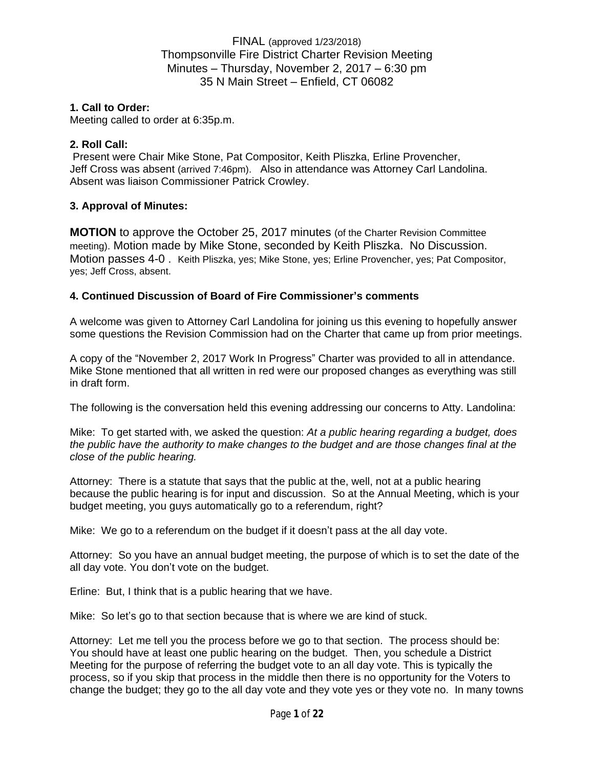## **1. Call to Order:**

Meeting called to order at 6:35p.m.

## **2. Roll Call:**

Present were Chair Mike Stone, Pat Compositor, Keith Pliszka, Erline Provencher, Jeff Cross was absent (arrived 7:46pm). Also in attendance was Attorney Carl Landolina. Absent was liaison Commissioner Patrick Crowley.

## **3. Approval of Minutes:**

**MOTION** to approve the October 25, 2017 minutes (of the Charter Revision Committee meeting). Motion made by Mike Stone, seconded by Keith Pliszka. No Discussion. Motion passes 4-0 . Keith Pliszka, yes; Mike Stone, yes; Erline Provencher, yes; Pat Compositor, yes; Jeff Cross, absent.

## **4. Continued Discussion of Board of Fire Commissioner's comments**

A welcome was given to Attorney Carl Landolina for joining us this evening to hopefully answer some questions the Revision Commission had on the Charter that came up from prior meetings.

A copy of the "November 2, 2017 Work In Progress" Charter was provided to all in attendance. Mike Stone mentioned that all written in red were our proposed changes as everything was still in draft form.

The following is the conversation held this evening addressing our concerns to Atty. Landolina:

Mike: To get started with, we asked the question: *At a public hearing regarding a budget, does the public have the authority to make changes to the budget and are those changes final at the close of the public hearing.*

Attorney: There is a statute that says that the public at the, well, not at a public hearing because the public hearing is for input and discussion. So at the Annual Meeting, which is your budget meeting, you guys automatically go to a referendum, right?

Mike: We go to a referendum on the budget if it doesn't pass at the all day vote.

Attorney: So you have an annual budget meeting, the purpose of which is to set the date of the all day vote. You don't vote on the budget.

Erline: But, I think that is a public hearing that we have.

Mike: So let's go to that section because that is where we are kind of stuck.

Attorney: Let me tell you the process before we go to that section. The process should be: You should have at least one public hearing on the budget. Then, you schedule a District Meeting for the purpose of referring the budget vote to an all day vote. This is typically the process, so if you skip that process in the middle then there is no opportunity for the Voters to change the budget; they go to the all day vote and they vote yes or they vote no. In many towns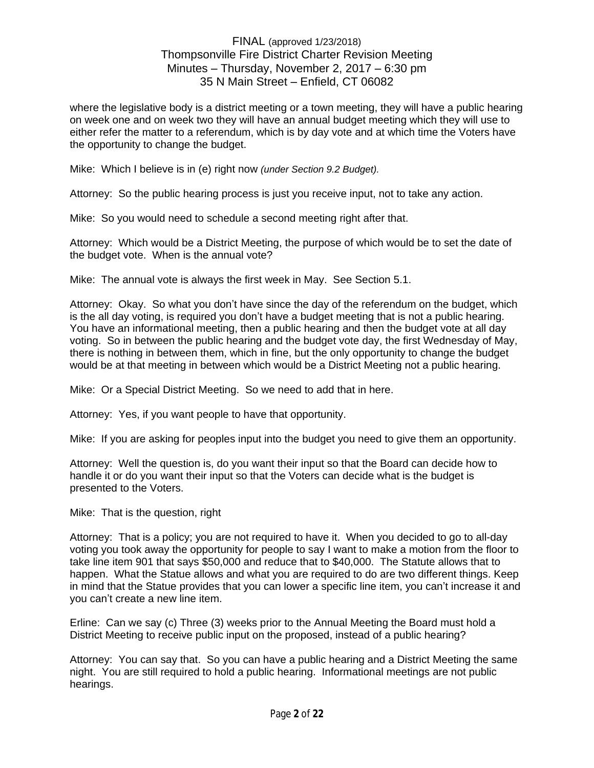where the legislative body is a district meeting or a town meeting, they will have a public hearing on week one and on week two they will have an annual budget meeting which they will use to either refer the matter to a referendum, which is by day vote and at which time the Voters have the opportunity to change the budget.

Mike: Which I believe is in (e) right now *(under Section 9.2 Budget).*

Attorney: So the public hearing process is just you receive input, not to take any action.

Mike: So you would need to schedule a second meeting right after that.

Attorney: Which would be a District Meeting, the purpose of which would be to set the date of the budget vote. When is the annual vote?

Mike: The annual vote is always the first week in May. See Section 5.1.

Attorney: Okay. So what you don't have since the day of the referendum on the budget, which is the all day voting, is required you don't have a budget meeting that is not a public hearing. You have an informational meeting, then a public hearing and then the budget vote at all day voting. So in between the public hearing and the budget vote day, the first Wednesday of May, there is nothing in between them, which in fine, but the only opportunity to change the budget would be at that meeting in between which would be a District Meeting not a public hearing.

Mike: Or a Special District Meeting. So we need to add that in here.

Attorney: Yes, if you want people to have that opportunity.

Mike: If you are asking for peoples input into the budget you need to give them an opportunity.

Attorney: Well the question is, do you want their input so that the Board can decide how to handle it or do you want their input so that the Voters can decide what is the budget is presented to the Voters.

Mike: That is the question, right

Attorney: That is a policy; you are not required to have it. When you decided to go to all-day voting you took away the opportunity for people to say I want to make a motion from the floor to take line item 901 that says \$50,000 and reduce that to \$40,000. The Statute allows that to happen. What the Statue allows and what you are required to do are two different things. Keep in mind that the Statue provides that you can lower a specific line item, you can't increase it and you can't create a new line item.

Erline: Can we say (c) Three (3) weeks prior to the Annual Meeting the Board must hold a District Meeting to receive public input on the proposed, instead of a public hearing?

Attorney: You can say that. So you can have a public hearing and a District Meeting the same night. You are still required to hold a public hearing. Informational meetings are not public hearings.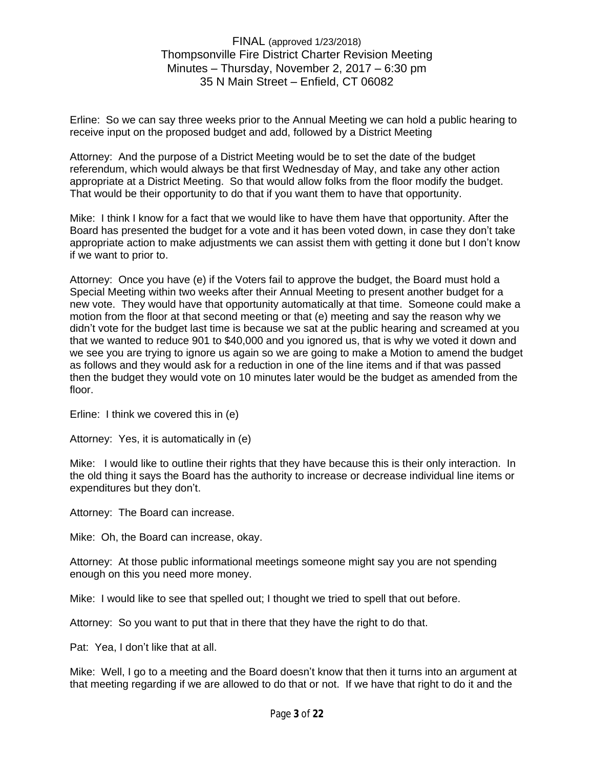Erline: So we can say three weeks prior to the Annual Meeting we can hold a public hearing to receive input on the proposed budget and add, followed by a District Meeting

Attorney: And the purpose of a District Meeting would be to set the date of the budget referendum, which would always be that first Wednesday of May, and take any other action appropriate at a District Meeting. So that would allow folks from the floor modify the budget. That would be their opportunity to do that if you want them to have that opportunity.

Mike: I think I know for a fact that we would like to have them have that opportunity. After the Board has presented the budget for a vote and it has been voted down, in case they don't take appropriate action to make adjustments we can assist them with getting it done but I don't know if we want to prior to.

Attorney: Once you have (e) if the Voters fail to approve the budget, the Board must hold a Special Meeting within two weeks after their Annual Meeting to present another budget for a new vote. They would have that opportunity automatically at that time. Someone could make a motion from the floor at that second meeting or that (e) meeting and say the reason why we didn't vote for the budget last time is because we sat at the public hearing and screamed at you that we wanted to reduce 901 to \$40,000 and you ignored us, that is why we voted it down and we see you are trying to ignore us again so we are going to make a Motion to amend the budget as follows and they would ask for a reduction in one of the line items and if that was passed then the budget they would vote on 10 minutes later would be the budget as amended from the floor.

Erline: I think we covered this in (e)

Attorney: Yes, it is automatically in (e)

Mike: I would like to outline their rights that they have because this is their only interaction. In the old thing it says the Board has the authority to increase or decrease individual line items or expenditures but they don't.

Attorney: The Board can increase.

Mike: Oh, the Board can increase, okay.

Attorney: At those public informational meetings someone might say you are not spending enough on this you need more money.

Mike: I would like to see that spelled out; I thought we tried to spell that out before.

Attorney: So you want to put that in there that they have the right to do that.

Pat: Yea, I don't like that at all.

Mike: Well, I go to a meeting and the Board doesn't know that then it turns into an argument at that meeting regarding if we are allowed to do that or not. If we have that right to do it and the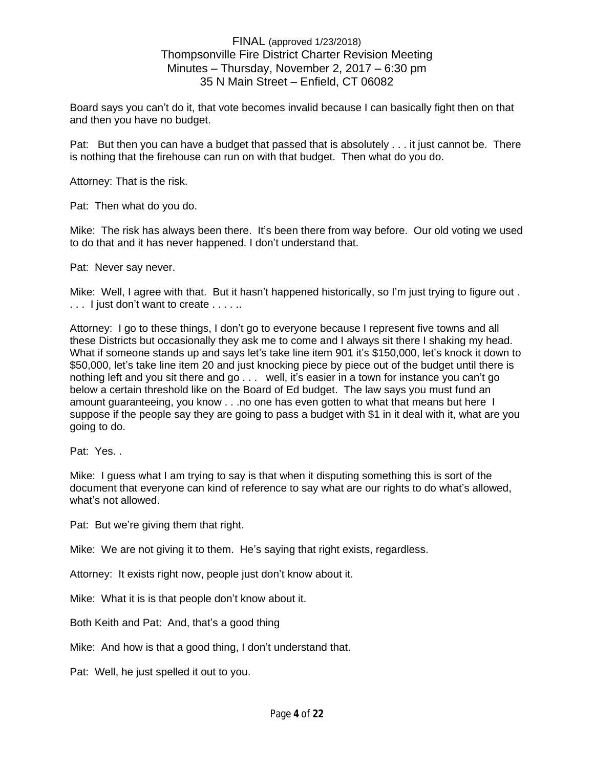Board says you can't do it, that vote becomes invalid because I can basically fight then on that and then you have no budget.

Pat: But then you can have a budget that passed that is absolutely . . . it just cannot be. There is nothing that the firehouse can run on with that budget. Then what do you do.

Attorney: That is the risk.

Pat: Then what do you do.

Mike: The risk has always been there. It's been there from way before. Our old voting we used to do that and it has never happened. I don't understand that.

Pat: Never say never.

Mike: Well, I agree with that. But it hasn't happened historically, so I'm just trying to figure out . ... I just don't want to create ......

Attorney: I go to these things, I don't go to everyone because I represent five towns and all these Districts but occasionally they ask me to come and I always sit there I shaking my head. What if someone stands up and says let's take line item 901 it's \$150,000, let's knock it down to \$50,000, let's take line item 20 and just knocking piece by piece out of the budget until there is nothing left and you sit there and go . . . well, it's easier in a town for instance you can't go below a certain threshold like on the Board of Ed budget. The law says you must fund an amount guaranteeing, you know . . .no one has even gotten to what that means but here I suppose if the people say they are going to pass a budget with \$1 in it deal with it, what are you going to do.

Pat: Yes. .

Mike: I guess what I am trying to say is that when it disputing something this is sort of the document that everyone can kind of reference to say what are our rights to do what's allowed, what's not allowed.

Pat: But we're giving them that right.

Mike: We are not giving it to them. He's saying that right exists, regardless.

Attorney: It exists right now, people just don't know about it.

Mike: What it is is that people don't know about it.

Both Keith and Pat: And, that's a good thing

Mike: And how is that a good thing, I don't understand that.

Pat: Well, he just spelled it out to you.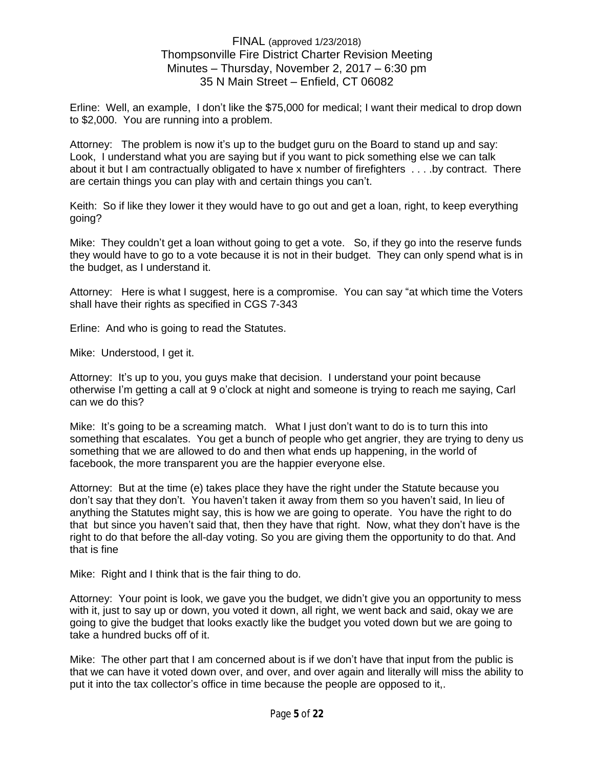Erline: Well, an example, I don't like the \$75,000 for medical; I want their medical to drop down to \$2,000. You are running into a problem.

Attorney: The problem is now it's up to the budget guru on the Board to stand up and say: Look, I understand what you are saying but if you want to pick something else we can talk about it but I am contractually obligated to have x number of firefighters . . . .by contract. There are certain things you can play with and certain things you can't.

Keith: So if like they lower it they would have to go out and get a loan, right, to keep everything going?

Mike: They couldn't get a loan without going to get a vote. So, if they go into the reserve funds they would have to go to a vote because it is not in their budget. They can only spend what is in the budget, as I understand it.

Attorney: Here is what I suggest, here is a compromise. You can say "at which time the Voters shall have their rights as specified in CGS 7-343

Erline: And who is going to read the Statutes.

Mike: Understood, I get it.

Attorney: It's up to you, you guys make that decision. I understand your point because otherwise I'm getting a call at 9 o'clock at night and someone is trying to reach me saying, Carl can we do this?

Mike: It's going to be a screaming match. What I just don't want to do is to turn this into something that escalates. You get a bunch of people who get angrier, they are trying to deny us something that we are allowed to do and then what ends up happening, in the world of facebook, the more transparent you are the happier everyone else.

Attorney: But at the time (e) takes place they have the right under the Statute because you don't say that they don't. You haven't taken it away from them so you haven't said, In lieu of anything the Statutes might say, this is how we are going to operate. You have the right to do that but since you haven't said that, then they have that right. Now, what they don't have is the right to do that before the all-day voting. So you are giving them the opportunity to do that. And that is fine

Mike: Right and I think that is the fair thing to do.

Attorney: Your point is look, we gave you the budget, we didn't give you an opportunity to mess with it, just to say up or down, you voted it down, all right, we went back and said, okay we are going to give the budget that looks exactly like the budget you voted down but we are going to take a hundred bucks off of it.

Mike: The other part that I am concerned about is if we don't have that input from the public is that we can have it voted down over, and over, and over again and literally will miss the ability to put it into the tax collector's office in time because the people are opposed to it,.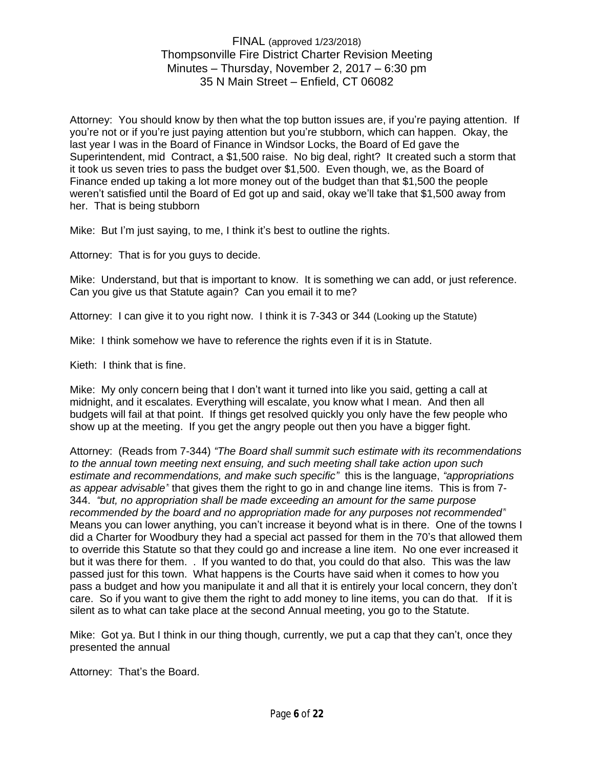Attorney: You should know by then what the top button issues are, if you're paying attention. If you're not or if you're just paying attention but you're stubborn, which can happen. Okay, the last year I was in the Board of Finance in Windsor Locks, the Board of Ed gave the Superintendent, mid Contract, a \$1,500 raise. No big deal, right? It created such a storm that it took us seven tries to pass the budget over \$1,500. Even though, we, as the Board of Finance ended up taking a lot more money out of the budget than that \$1,500 the people weren't satisfied until the Board of Ed got up and said, okay we'll take that \$1,500 away from her. That is being stubborn

Mike: But I'm just saying, to me, I think it's best to outline the rights.

Attorney: That is for you guys to decide.

Mike: Understand, but that is important to know. It is something we can add, or just reference. Can you give us that Statute again? Can you email it to me?

Attorney: I can give it to you right now. I think it is 7-343 or 344 (Looking up the Statute)

Mike: I think somehow we have to reference the rights even if it is in Statute.

Kieth: I think that is fine.

Mike: My only concern being that I don't want it turned into like you said, getting a call at midnight, and it escalates. Everything will escalate, you know what I mean. And then all budgets will fail at that point. If things get resolved quickly you only have the few people who show up at the meeting. If you get the angry people out then you have a bigger fight.

Attorney: (Reads from 7-344) *"The Board shall summit such estimate with its recommendations to the annual town meeting next ensuing, and such meeting shall take action upon such estimate and recommendations, and make such specific"* this is the language, *"appropriations as appear advisable"* that gives them the right to go in and change line items. This is from 7- 344. *"but, no appropriation shall be made exceeding an amount for the same purpose recommended by the board and no appropriation made for any purposes not recommended"* Means you can lower anything, you can't increase it beyond what is in there. One of the towns I did a Charter for Woodbury they had a special act passed for them in the 70's that allowed them to override this Statute so that they could go and increase a line item. No one ever increased it but it was there for them. . If you wanted to do that, you could do that also. This was the law passed just for this town. What happens is the Courts have said when it comes to how you pass a budget and how you manipulate it and all that it is entirely your local concern, they don't care. So if you want to give them the right to add money to line items, you can do that. If it is silent as to what can take place at the second Annual meeting, you go to the Statute.

Mike: Got ya. But I think in our thing though, currently, we put a cap that they can't, once they presented the annual

Attorney: That's the Board.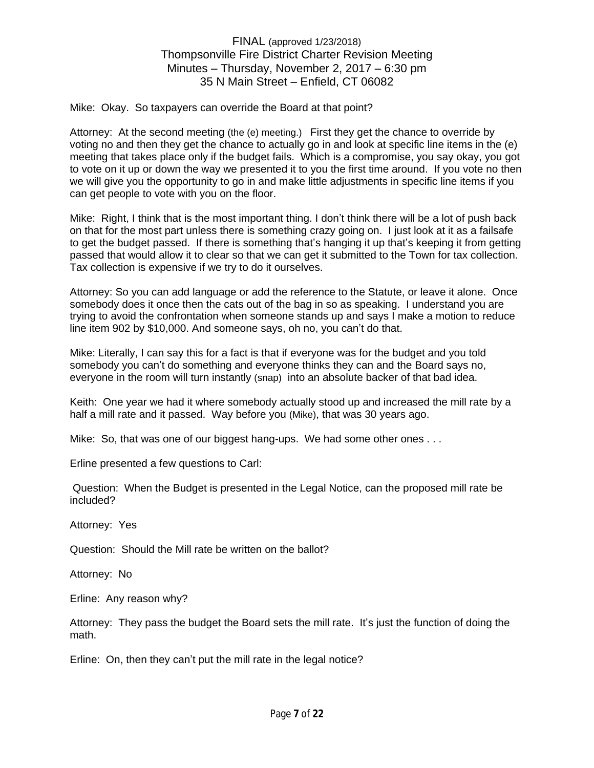Mike: Okay. So taxpayers can override the Board at that point?

Attorney: At the second meeting (the (e) meeting.) First they get the chance to override by voting no and then they get the chance to actually go in and look at specific line items in the (e) meeting that takes place only if the budget fails. Which is a compromise, you say okay, you got to vote on it up or down the way we presented it to you the first time around. If you vote no then we will give you the opportunity to go in and make little adjustments in specific line items if you can get people to vote with you on the floor.

Mike: Right, I think that is the most important thing. I don't think there will be a lot of push back on that for the most part unless there is something crazy going on. I just look at it as a failsafe to get the budget passed. If there is something that's hanging it up that's keeping it from getting passed that would allow it to clear so that we can get it submitted to the Town for tax collection. Tax collection is expensive if we try to do it ourselves.

Attorney: So you can add language or add the reference to the Statute, or leave it alone. Once somebody does it once then the cats out of the bag in so as speaking. I understand you are trying to avoid the confrontation when someone stands up and says I make a motion to reduce line item 902 by \$10,000. And someone says, oh no, you can't do that.

Mike: Literally, I can say this for a fact is that if everyone was for the budget and you told somebody you can't do something and everyone thinks they can and the Board says no, everyone in the room will turn instantly (snap) into an absolute backer of that bad idea.

Keith: One year we had it where somebody actually stood up and increased the mill rate by a half a mill rate and it passed. Way before you (Mike), that was 30 years ago.

Mike: So, that was one of our biggest hang-ups. We had some other ones . . .

Erline presented a few questions to Carl:

Question: When the Budget is presented in the Legal Notice, can the proposed mill rate be included?

Attorney: Yes

Question: Should the Mill rate be written on the ballot?

Attorney: No

Erline: Any reason why?

Attorney: They pass the budget the Board sets the mill rate. It's just the function of doing the math.

Erline: On, then they can't put the mill rate in the legal notice?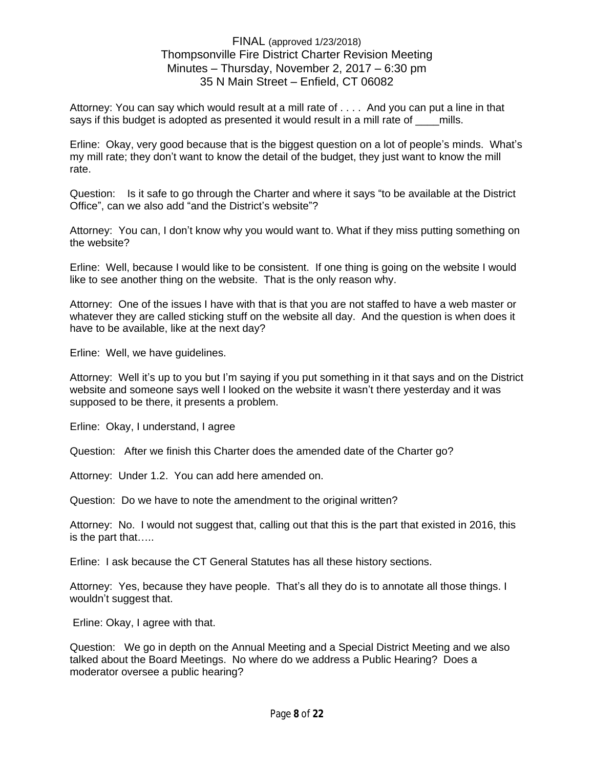Attorney: You can say which would result at a mill rate of . . . . And you can put a line in that says if this budget is adopted as presented it would result in a mill rate of mills.

Erline: Okay, very good because that is the biggest question on a lot of people's minds. What's my mill rate; they don't want to know the detail of the budget, they just want to know the mill rate.

Question: Is it safe to go through the Charter and where it says "to be available at the District Office", can we also add "and the District's website"?

Attorney: You can, I don't know why you would want to. What if they miss putting something on the website?

Erline: Well, because I would like to be consistent. If one thing is going on the website I would like to see another thing on the website. That is the only reason why.

Attorney: One of the issues I have with that is that you are not staffed to have a web master or whatever they are called sticking stuff on the website all day. And the question is when does it have to be available, like at the next day?

Erline: Well, we have guidelines.

Attorney: Well it's up to you but I'm saying if you put something in it that says and on the District website and someone says well I looked on the website it wasn't there yesterday and it was supposed to be there, it presents a problem.

Erline: Okay, I understand, I agree

Question: After we finish this Charter does the amended date of the Charter go?

Attorney: Under 1.2. You can add here amended on.

Question: Do we have to note the amendment to the original written?

Attorney: No. I would not suggest that, calling out that this is the part that existed in 2016, this is the part that…..

Erline: I ask because the CT General Statutes has all these history sections.

Attorney: Yes, because they have people. That's all they do is to annotate all those things. I wouldn't suggest that.

Erline: Okay, I agree with that.

Question: We go in depth on the Annual Meeting and a Special District Meeting and we also talked about the Board Meetings. No where do we address a Public Hearing? Does a moderator oversee a public hearing?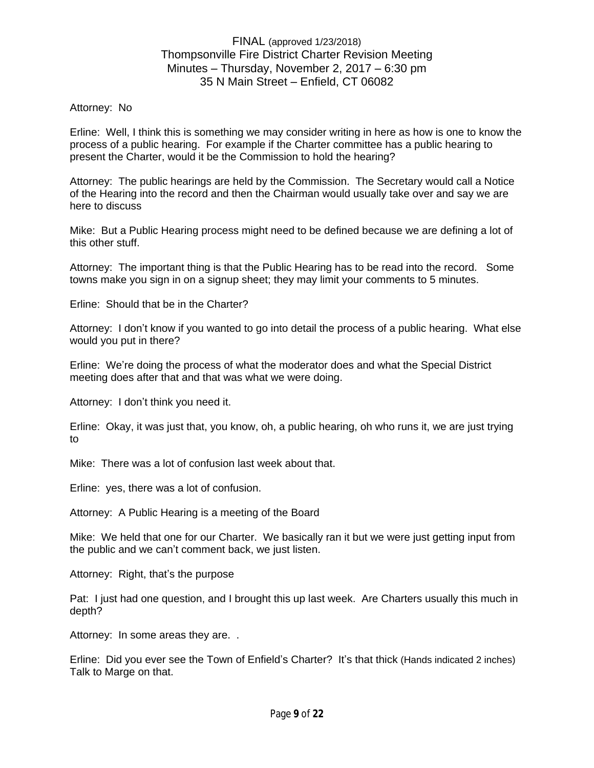#### Attorney: No

Erline: Well, I think this is something we may consider writing in here as how is one to know the process of a public hearing. For example if the Charter committee has a public hearing to present the Charter, would it be the Commission to hold the hearing?

Attorney: The public hearings are held by the Commission. The Secretary would call a Notice of the Hearing into the record and then the Chairman would usually take over and say we are here to discuss

Mike: But a Public Hearing process might need to be defined because we are defining a lot of this other stuff.

Attorney: The important thing is that the Public Hearing has to be read into the record. Some towns make you sign in on a signup sheet; they may limit your comments to 5 minutes.

Erline: Should that be in the Charter?

Attorney: I don't know if you wanted to go into detail the process of a public hearing. What else would you put in there?

Erline: We're doing the process of what the moderator does and what the Special District meeting does after that and that was what we were doing.

Attorney: I don't think you need it.

Erline: Okay, it was just that, you know, oh, a public hearing, oh who runs it, we are just trying to

Mike: There was a lot of confusion last week about that.

Erline: yes, there was a lot of confusion.

Attorney: A Public Hearing is a meeting of the Board

Mike: We held that one for our Charter. We basically ran it but we were just getting input from the public and we can't comment back, we just listen.

Attorney: Right, that's the purpose

Pat: I just had one question, and I brought this up last week. Are Charters usually this much in depth?

Attorney: In some areas they are. .

Erline: Did you ever see the Town of Enfield's Charter? It's that thick (Hands indicated 2 inches) Talk to Marge on that.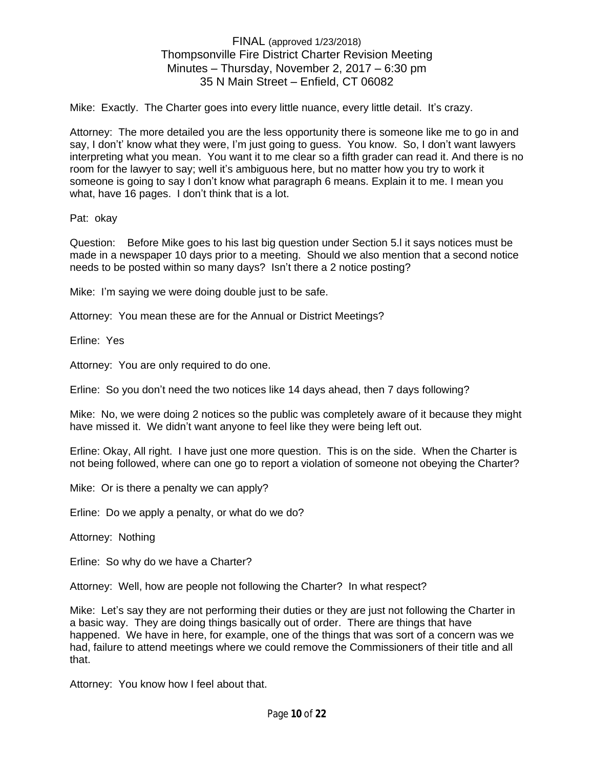Mike: Exactly. The Charter goes into every little nuance, every little detail. It's crazy.

Attorney: The more detailed you are the less opportunity there is someone like me to go in and say, I don't' know what they were, I'm just going to guess. You know. So, I don't want lawyers interpreting what you mean. You want it to me clear so a fifth grader can read it. And there is no room for the lawyer to say; well it's ambiguous here, but no matter how you try to work it someone is going to say I don't know what paragraph 6 means. Explain it to me. I mean you what, have 16 pages. I don't think that is a lot.

Pat: okay

Question: Before Mike goes to his last big question under Section 5.l it says notices must be made in a newspaper 10 days prior to a meeting. Should we also mention that a second notice needs to be posted within so many days? Isn't there a 2 notice posting?

Mike: I'm saying we were doing double just to be safe.

Attorney: You mean these are for the Annual or District Meetings?

Erline: Yes

Attorney: You are only required to do one.

Erline: So you don't need the two notices like 14 days ahead, then 7 days following?

Mike: No, we were doing 2 notices so the public was completely aware of it because they might have missed it. We didn't want anyone to feel like they were being left out.

Erline: Okay, All right. I have just one more question. This is on the side. When the Charter is not being followed, where can one go to report a violation of someone not obeying the Charter?

Mike: Or is there a penalty we can apply?

Erline: Do we apply a penalty, or what do we do?

Attorney: Nothing

Erline: So why do we have a Charter?

Attorney: Well, how are people not following the Charter? In what respect?

Mike: Let's say they are not performing their duties or they are just not following the Charter in a basic way. They are doing things basically out of order. There are things that have happened. We have in here, for example, one of the things that was sort of a concern was we had, failure to attend meetings where we could remove the Commissioners of their title and all that.

Attorney: You know how I feel about that.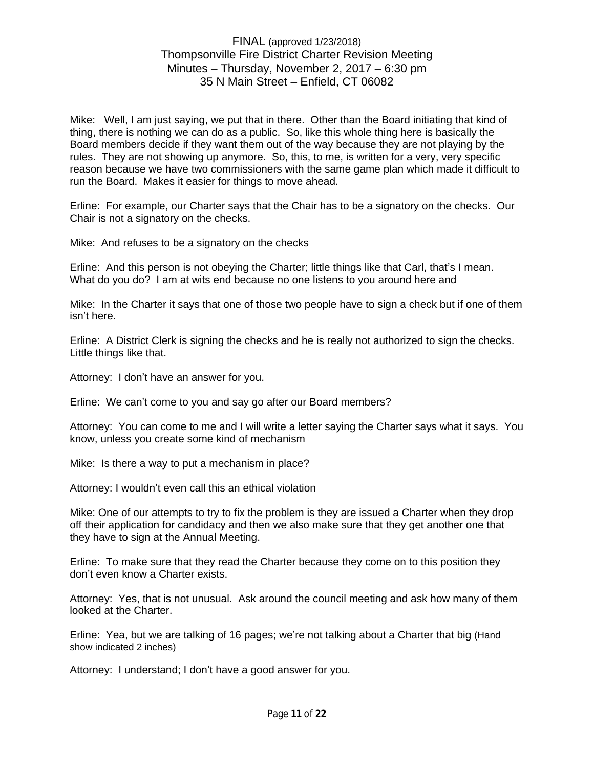Mike: Well, I am just saying, we put that in there. Other than the Board initiating that kind of thing, there is nothing we can do as a public. So, like this whole thing here is basically the Board members decide if they want them out of the way because they are not playing by the rules. They are not showing up anymore. So, this, to me, is written for a very, very specific reason because we have two commissioners with the same game plan which made it difficult to run the Board. Makes it easier for things to move ahead.

Erline: For example, our Charter says that the Chair has to be a signatory on the checks. Our Chair is not a signatory on the checks.

Mike: And refuses to be a signatory on the checks

Erline: And this person is not obeying the Charter; little things like that Carl, that's I mean. What do you do? I am at wits end because no one listens to you around here and

Mike: In the Charter it says that one of those two people have to sign a check but if one of them isn't here.

Erline: A District Clerk is signing the checks and he is really not authorized to sign the checks. Little things like that.

Attorney: I don't have an answer for you.

Erline: We can't come to you and say go after our Board members?

Attorney: You can come to me and I will write a letter saying the Charter says what it says. You know, unless you create some kind of mechanism

Mike: Is there a way to put a mechanism in place?

Attorney: I wouldn't even call this an ethical violation

Mike: One of our attempts to try to fix the problem is they are issued a Charter when they drop off their application for candidacy and then we also make sure that they get another one that they have to sign at the Annual Meeting.

Erline: To make sure that they read the Charter because they come on to this position they don't even know a Charter exists.

Attorney: Yes, that is not unusual. Ask around the council meeting and ask how many of them looked at the Charter.

Erline: Yea, but we are talking of 16 pages; we're not talking about a Charter that big (Hand show indicated 2 inches)

Attorney: I understand; I don't have a good answer for you.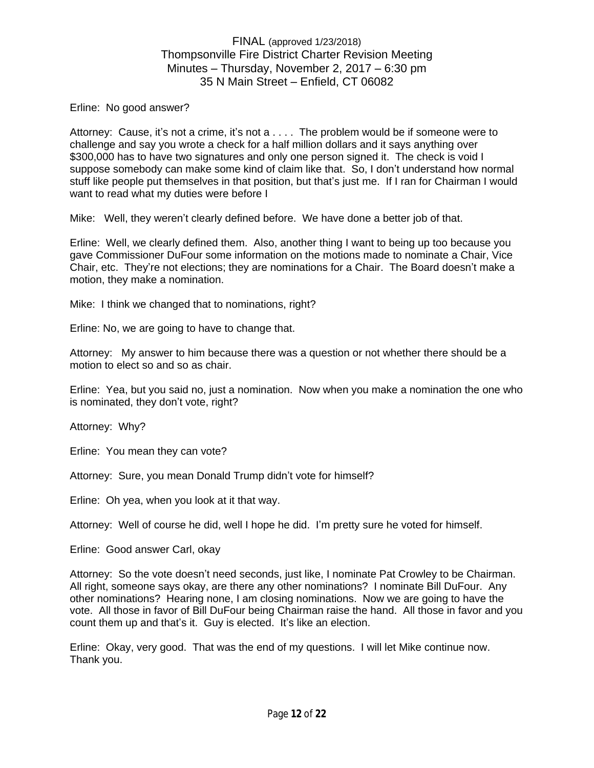Erline: No good answer?

Attorney: Cause, it's not a crime, it's not a . . . . The problem would be if someone were to challenge and say you wrote a check for a half million dollars and it says anything over \$300,000 has to have two signatures and only one person signed it. The check is void I suppose somebody can make some kind of claim like that. So, I don't understand how normal stuff like people put themselves in that position, but that's just me. If I ran for Chairman I would want to read what my duties were before I

Mike: Well, they weren't clearly defined before. We have done a better job of that.

Erline: Well, we clearly defined them. Also, another thing I want to being up too because you gave Commissioner DuFour some information on the motions made to nominate a Chair, Vice Chair, etc. They're not elections; they are nominations for a Chair. The Board doesn't make a motion, they make a nomination.

Mike: I think we changed that to nominations, right?

Erline: No, we are going to have to change that.

Attorney: My answer to him because there was a question or not whether there should be a motion to elect so and so as chair.

Erline: Yea, but you said no, just a nomination. Now when you make a nomination the one who is nominated, they don't vote, right?

Attorney: Why?

Erline: You mean they can vote?

Attorney: Sure, you mean Donald Trump didn't vote for himself?

Erline: Oh yea, when you look at it that way.

Attorney: Well of course he did, well I hope he did. I'm pretty sure he voted for himself.

Erline: Good answer Carl, okay

Attorney: So the vote doesn't need seconds, just like, I nominate Pat Crowley to be Chairman. All right, someone says okay, are there any other nominations? I nominate Bill DuFour. Any other nominations? Hearing none, I am closing nominations. Now we are going to have the vote. All those in favor of Bill DuFour being Chairman raise the hand. All those in favor and you count them up and that's it. Guy is elected. It's like an election.

Erline: Okay, very good. That was the end of my questions. I will let Mike continue now. Thank you.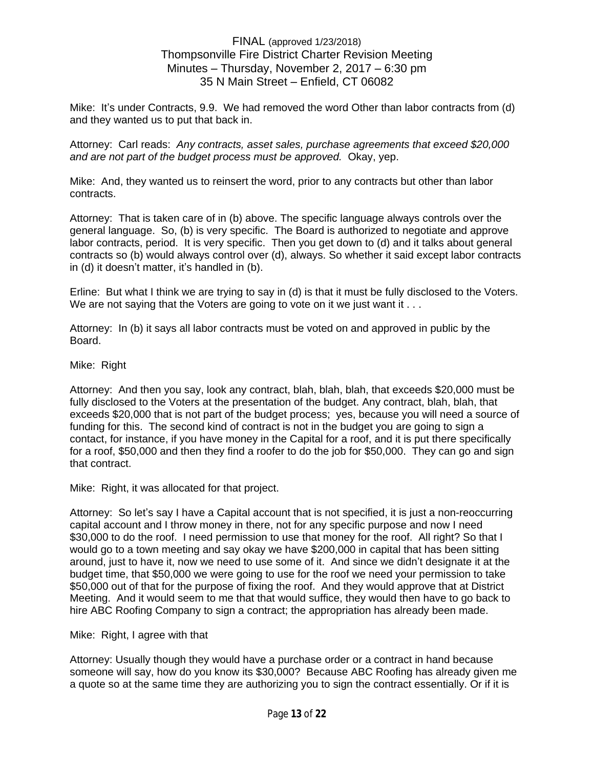Mike: It's under Contracts, 9.9. We had removed the word Other than labor contracts from (d) and they wanted us to put that back in.

Attorney: Carl reads: *Any contracts, asset sales, purchase agreements that exceed \$20,000 and are not part of the budget process must be approved.* Okay, yep.

Mike: And, they wanted us to reinsert the word, prior to any contracts but other than labor contracts.

Attorney: That is taken care of in (b) above. The specific language always controls over the general language. So, (b) is very specific. The Board is authorized to negotiate and approve labor contracts, period. It is very specific. Then you get down to (d) and it talks about general contracts so (b) would always control over (d), always. So whether it said except labor contracts in (d) it doesn't matter, it's handled in (b).

Erline: But what I think we are trying to say in (d) is that it must be fully disclosed to the Voters. We are not saying that the Voters are going to vote on it we just want it . . .

Attorney: In (b) it says all labor contracts must be voted on and approved in public by the Board.

#### Mike: Right

Attorney: And then you say, look any contract, blah, blah, blah, that exceeds \$20,000 must be fully disclosed to the Voters at the presentation of the budget. Any contract, blah, blah, that exceeds \$20,000 that is not part of the budget process; yes, because you will need a source of funding for this. The second kind of contract is not in the budget you are going to sign a contact, for instance, if you have money in the Capital for a roof, and it is put there specifically for a roof, \$50,000 and then they find a roofer to do the job for \$50,000. They can go and sign that contract.

Mike: Right, it was allocated for that project.

Attorney: So let's say I have a Capital account that is not specified, it is just a non-reoccurring capital account and I throw money in there, not for any specific purpose and now I need \$30,000 to do the roof. I need permission to use that money for the roof. All right? So that I would go to a town meeting and say okay we have \$200,000 in capital that has been sitting around, just to have it, now we need to use some of it. And since we didn't designate it at the budget time, that \$50,000 we were going to use for the roof we need your permission to take \$50,000 out of that for the purpose of fixing the roof. And they would approve that at District Meeting. And it would seem to me that that would suffice, they would then have to go back to hire ABC Roofing Company to sign a contract; the appropriation has already been made.

#### Mike: Right, I agree with that

Attorney: Usually though they would have a purchase order or a contract in hand because someone will say, how do you know its \$30,000? Because ABC Roofing has already given me a quote so at the same time they are authorizing you to sign the contract essentially. Or if it is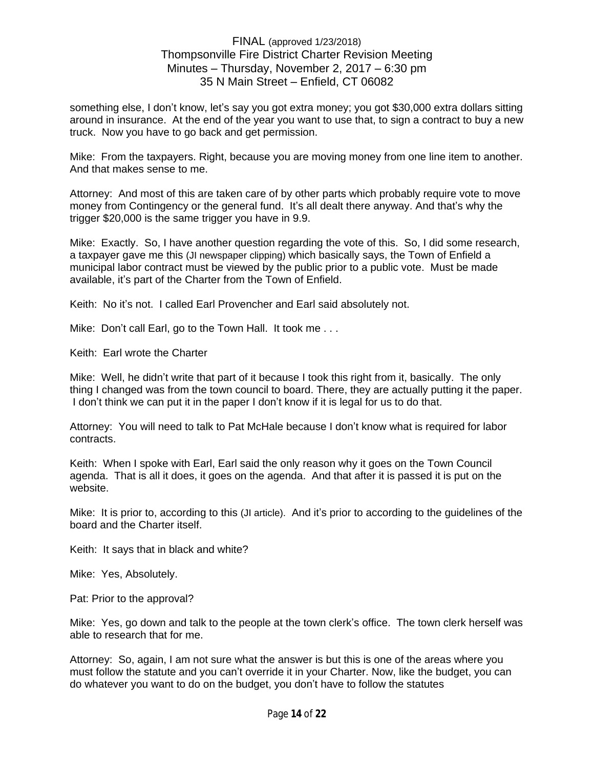something else, I don't know, let's say you got extra money; you got \$30,000 extra dollars sitting around in insurance. At the end of the year you want to use that, to sign a contract to buy a new truck. Now you have to go back and get permission.

Mike: From the taxpayers. Right, because you are moving money from one line item to another. And that makes sense to me.

Attorney: And most of this are taken care of by other parts which probably require vote to move money from Contingency or the general fund. It's all dealt there anyway. And that's why the trigger \$20,000 is the same trigger you have in 9.9.

Mike: Exactly. So, I have another question regarding the vote of this. So, I did some research, a taxpayer gave me this (JI newspaper clipping) which basically says, the Town of Enfield a municipal labor contract must be viewed by the public prior to a public vote. Must be made available, it's part of the Charter from the Town of Enfield.

Keith: No it's not. I called Earl Provencher and Earl said absolutely not.

Mike: Don't call Earl, go to the Town Hall. It took me...

Keith: Earl wrote the Charter

Mike: Well, he didn't write that part of it because I took this right from it, basically. The only thing I changed was from the town council to board. There, they are actually putting it the paper. I don't think we can put it in the paper I don't know if it is legal for us to do that.

Attorney: You will need to talk to Pat McHale because I don't know what is required for labor contracts.

Keith: When I spoke with Earl, Earl said the only reason why it goes on the Town Council agenda. That is all it does, it goes on the agenda. And that after it is passed it is put on the website.

Mike: It is prior to, according to this (JI article). And it's prior to according to the guidelines of the board and the Charter itself.

Keith: It says that in black and white?

Mike: Yes, Absolutely.

Pat: Prior to the approval?

Mike: Yes, go down and talk to the people at the town clerk's office. The town clerk herself was able to research that for me.

Attorney: So, again, I am not sure what the answer is but this is one of the areas where you must follow the statute and you can't override it in your Charter. Now, like the budget, you can do whatever you want to do on the budget, you don't have to follow the statutes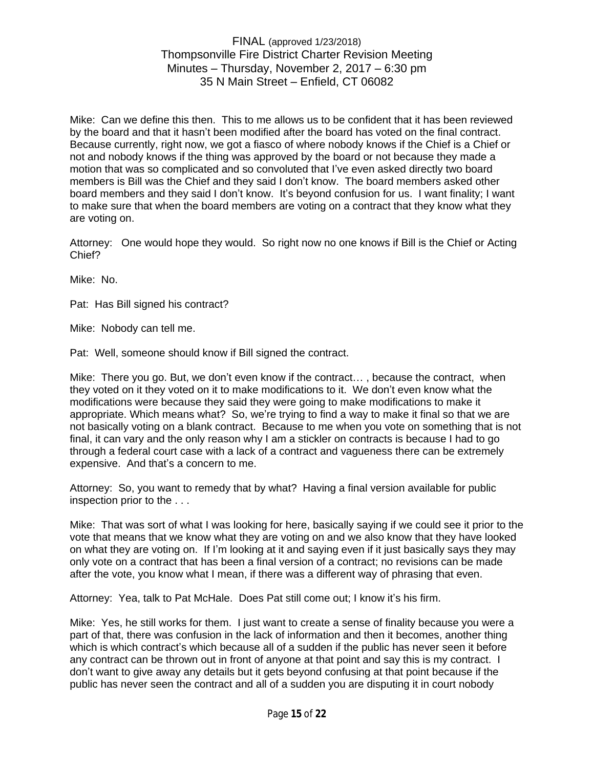Mike: Can we define this then. This to me allows us to be confident that it has been reviewed by the board and that it hasn't been modified after the board has voted on the final contract. Because currently, right now, we got a fiasco of where nobody knows if the Chief is a Chief or not and nobody knows if the thing was approved by the board or not because they made a motion that was so complicated and so convoluted that I've even asked directly two board members is Bill was the Chief and they said I don't know. The board members asked other board members and they said I don't know. It's beyond confusion for us. I want finality; I want to make sure that when the board members are voting on a contract that they know what they are voting on.

Attorney: One would hope they would. So right now no one knows if Bill is the Chief or Acting Chief?

Mike: No.

Pat: Has Bill signed his contract?

Mike: Nobody can tell me.

Pat: Well, someone should know if Bill signed the contract.

Mike: There you go. But, we don't even know if the contract… , because the contract, when they voted on it they voted on it to make modifications to it. We don't even know what the modifications were because they said they were going to make modifications to make it appropriate. Which means what? So, we're trying to find a way to make it final so that we are not basically voting on a blank contract. Because to me when you vote on something that is not final, it can vary and the only reason why I am a stickler on contracts is because I had to go through a federal court case with a lack of a contract and vagueness there can be extremely expensive. And that's a concern to me.

Attorney: So, you want to remedy that by what? Having a final version available for public inspection prior to the . . .

Mike: That was sort of what I was looking for here, basically saying if we could see it prior to the vote that means that we know what they are voting on and we also know that they have looked on what they are voting on. If I'm looking at it and saying even if it just basically says they may only vote on a contract that has been a final version of a contract; no revisions can be made after the vote, you know what I mean, if there was a different way of phrasing that even.

Attorney: Yea, talk to Pat McHale. Does Pat still come out; I know it's his firm.

Mike: Yes, he still works for them. I just want to create a sense of finality because you were a part of that, there was confusion in the lack of information and then it becomes, another thing which is which contract's which because all of a sudden if the public has never seen it before any contract can be thrown out in front of anyone at that point and say this is my contract. I don't want to give away any details but it gets beyond confusing at that point because if the public has never seen the contract and all of a sudden you are disputing it in court nobody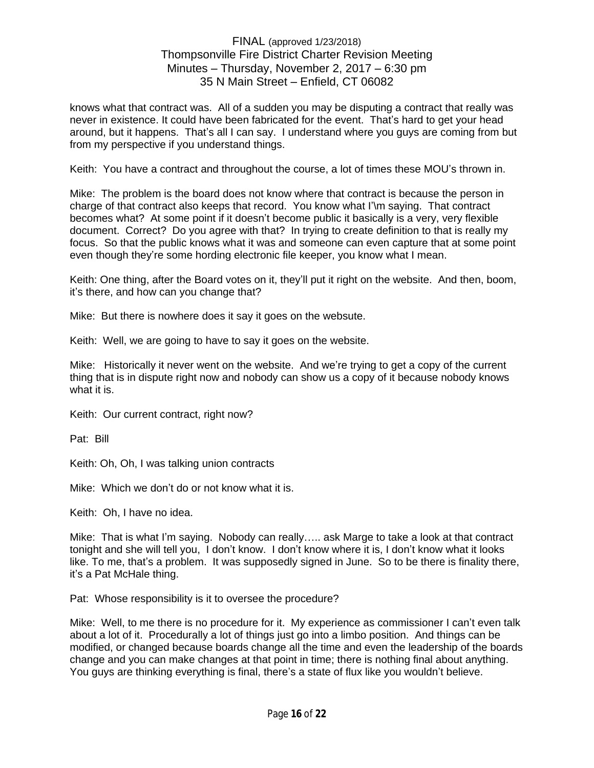knows what that contract was. All of a sudden you may be disputing a contract that really was never in existence. It could have been fabricated for the event. That's hard to get your head around, but it happens. That's all I can say. I understand where you guys are coming from but from my perspective if you understand things.

Keith: You have a contract and throughout the course, a lot of times these MOU's thrown in.

Mike: The problem is the board does not know where that contract is because the person in charge of that contract also keeps that record. You know what I'\m saying. That contract becomes what? At some point if it doesn't become public it basically is a very, very flexible document. Correct? Do you agree with that? In trying to create definition to that is really my focus. So that the public knows what it was and someone can even capture that at some point even though they're some hording electronic file keeper, you know what I mean.

Keith: One thing, after the Board votes on it, they'll put it right on the website. And then, boom, it's there, and how can you change that?

Mike: But there is nowhere does it say it goes on the websute.

Keith: Well, we are going to have to say it goes on the website.

Mike: Historically it never went on the website. And we're trying to get a copy of the current thing that is in dispute right now and nobody can show us a copy of it because nobody knows what it is.

Keith: Our current contract, right now?

Pat: Bill

Keith: Oh, Oh, I was talking union contracts

Mike: Which we don't do or not know what it is.

Keith: Oh, I have no idea.

Mike: That is what I'm saying. Nobody can really….. ask Marge to take a look at that contract tonight and she will tell you, I don't know. I don't know where it is, I don't know what it looks like. To me, that's a problem. It was supposedly signed in June. So to be there is finality there, it's a Pat McHale thing.

Pat: Whose responsibility is it to oversee the procedure?

Mike: Well, to me there is no procedure for it. My experience as commissioner I can't even talk about a lot of it. Procedurally a lot of things just go into a limbo position. And things can be modified, or changed because boards change all the time and even the leadership of the boards change and you can make changes at that point in time; there is nothing final about anything. You guys are thinking everything is final, there's a state of flux like you wouldn't believe.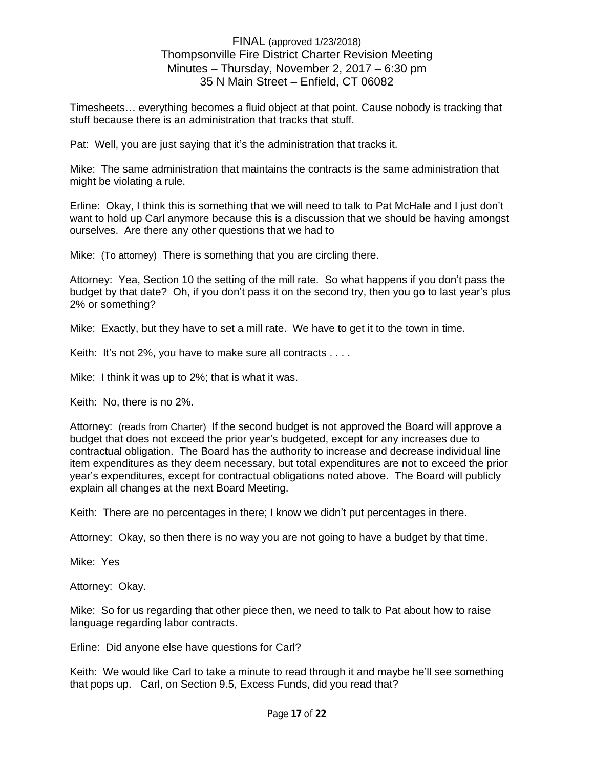Timesheets… everything becomes a fluid object at that point. Cause nobody is tracking that stuff because there is an administration that tracks that stuff.

Pat: Well, you are just saying that it's the administration that tracks it.

Mike: The same administration that maintains the contracts is the same administration that might be violating a rule.

Erline: Okay, I think this is something that we will need to talk to Pat McHale and I just don't want to hold up Carl anymore because this is a discussion that we should be having amongst ourselves. Are there any other questions that we had to

Mike: (To attorney) There is something that you are circling there.

Attorney: Yea, Section 10 the setting of the mill rate. So what happens if you don't pass the budget by that date? Oh, if you don't pass it on the second try, then you go to last year's plus 2% or something?

Mike: Exactly, but they have to set a mill rate. We have to get it to the town in time.

Keith: It's not 2%, you have to make sure all contracts . . . .

Mike: I think it was up to 2%; that is what it was.

Keith: No, there is no 2%.

Attorney: (reads from Charter) If the second budget is not approved the Board will approve a budget that does not exceed the prior year's budgeted, except for any increases due to contractual obligation. The Board has the authority to increase and decrease individual line item expenditures as they deem necessary, but total expenditures are not to exceed the prior year's expenditures, except for contractual obligations noted above. The Board will publicly explain all changes at the next Board Meeting.

Keith: There are no percentages in there; I know we didn't put percentages in there.

Attorney: Okay, so then there is no way you are not going to have a budget by that time.

Mike: Yes

Attorney: Okay.

Mike: So for us regarding that other piece then, we need to talk to Pat about how to raise language regarding labor contracts.

Erline: Did anyone else have questions for Carl?

Keith: We would like Carl to take a minute to read through it and maybe he'll see something that pops up. Carl, on Section 9.5, Excess Funds, did you read that?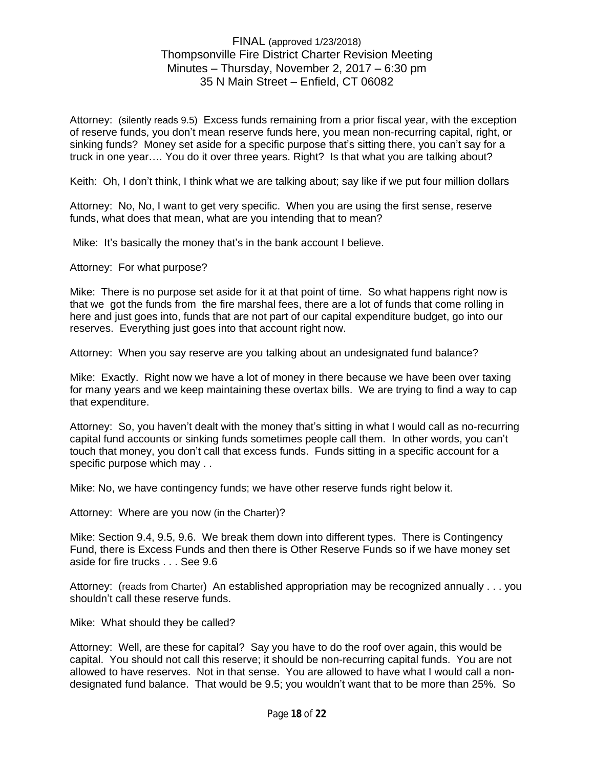Attorney: (silently reads 9.5) Excess funds remaining from a prior fiscal year, with the exception of reserve funds, you don't mean reserve funds here, you mean non-recurring capital, right, or sinking funds? Money set aside for a specific purpose that's sitting there, you can't say for a truck in one year…. You do it over three years. Right? Is that what you are talking about?

Keith: Oh, I don't think, I think what we are talking about; say like if we put four million dollars

Attorney: No, No, I want to get very specific. When you are using the first sense, reserve funds, what does that mean, what are you intending that to mean?

Mike: It's basically the money that's in the bank account I believe.

Attorney: For what purpose?

Mike: There is no purpose set aside for it at that point of time. So what happens right now is that we got the funds from the fire marshal fees, there are a lot of funds that come rolling in here and just goes into, funds that are not part of our capital expenditure budget, go into our reserves. Everything just goes into that account right now.

Attorney: When you say reserve are you talking about an undesignated fund balance?

Mike: Exactly. Right now we have a lot of money in there because we have been over taxing for many years and we keep maintaining these overtax bills. We are trying to find a way to cap that expenditure.

Attorney: So, you haven't dealt with the money that's sitting in what I would call as no-recurring capital fund accounts or sinking funds sometimes people call them. In other words, you can't touch that money, you don't call that excess funds. Funds sitting in a specific account for a specific purpose which may . .

Mike: No, we have contingency funds; we have other reserve funds right below it.

Attorney: Where are you now (in the Charter)?

Mike: Section 9.4, 9.5, 9.6. We break them down into different types. There is Contingency Fund, there is Excess Funds and then there is Other Reserve Funds so if we have money set aside for fire trucks . . . See 9.6

Attorney: (reads from Charter) An established appropriation may be recognized annually . . . you shouldn't call these reserve funds.

Mike: What should they be called?

Attorney: Well, are these for capital? Say you have to do the roof over again, this would be capital. You should not call this reserve; it should be non-recurring capital funds. You are not allowed to have reserves. Not in that sense. You are allowed to have what I would call a nondesignated fund balance. That would be 9.5; you wouldn't want that to be more than 25%. So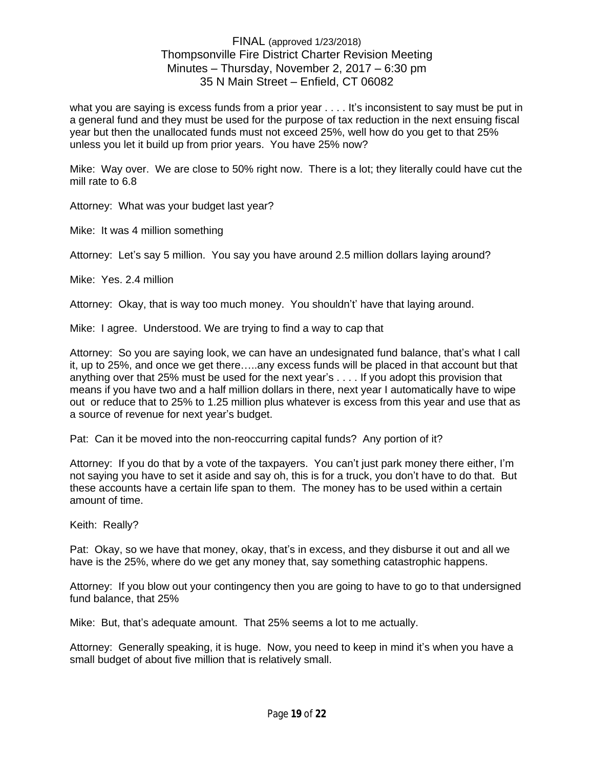what you are saying is excess funds from a prior year . . . . It's inconsistent to say must be put in a general fund and they must be used for the purpose of tax reduction in the next ensuing fiscal year but then the unallocated funds must not exceed 25%, well how do you get to that 25% unless you let it build up from prior years. You have 25% now?

Mike: Way over. We are close to 50% right now. There is a lot; they literally could have cut the mill rate to 6.8

Attorney: What was your budget last year?

Mike: It was 4 million something

Attorney: Let's say 5 million. You say you have around 2.5 million dollars laying around?

Mike: Yes. 2.4 million

Attorney: Okay, that is way too much money. You shouldn't' have that laying around.

Mike: I agree. Understood. We are trying to find a way to cap that

Attorney: So you are saying look, we can have an undesignated fund balance, that's what I call it, up to 25%, and once we get there…..any excess funds will be placed in that account but that anything over that 25% must be used for the next year's . . . . If you adopt this provision that means if you have two and a half million dollars in there, next year I automatically have to wipe out or reduce that to 25% to 1.25 million plus whatever is excess from this year and use that as a source of revenue for next year's budget.

Pat: Can it be moved into the non-reoccurring capital funds? Any portion of it?

Attorney: If you do that by a vote of the taxpayers. You can't just park money there either, I'm not saying you have to set it aside and say oh, this is for a truck, you don't have to do that. But these accounts have a certain life span to them. The money has to be used within a certain amount of time.

Keith: Really?

Pat: Okay, so we have that money, okay, that's in excess, and they disburse it out and all we have is the 25%, where do we get any money that, say something catastrophic happens.

Attorney: If you blow out your contingency then you are going to have to go to that undersigned fund balance, that 25%

Mike: But, that's adequate amount. That 25% seems a lot to me actually.

Attorney: Generally speaking, it is huge. Now, you need to keep in mind it's when you have a small budget of about five million that is relatively small.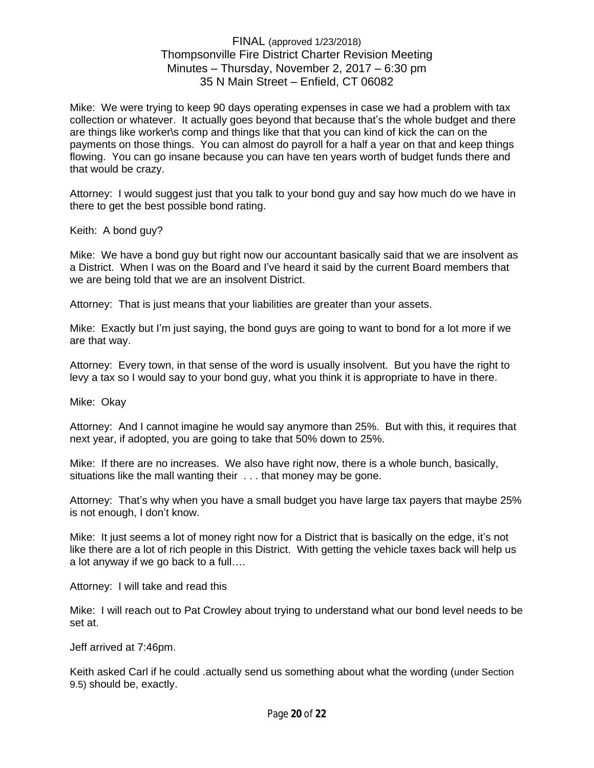Mike: We were trying to keep 90 days operating expenses in case we had a problem with tax collection or whatever. It actually goes beyond that because that's the whole budget and there are things like worker\s comp and things like that that you can kind of kick the can on the payments on those things. You can almost do payroll for a half a year on that and keep things flowing. You can go insane because you can have ten years worth of budget funds there and that would be crazy.

Attorney: I would suggest just that you talk to your bond guy and say how much do we have in there to get the best possible bond rating.

Keith: A bond guy?

Mike: We have a bond guy but right now our accountant basically said that we are insolvent as a District. When I was on the Board and I've heard it said by the current Board members that we are being told that we are an insolvent District.

Attorney: That is just means that your liabilities are greater than your assets.

Mike: Exactly but I'm just saying, the bond guys are going to want to bond for a lot more if we are that way.

Attorney: Every town, in that sense of the word is usually insolvent. But you have the right to levy a tax so I would say to your bond guy, what you think it is appropriate to have in there.

Mike: Okay

Attorney: And I cannot imagine he would say anymore than 25%. But with this, it requires that next year, if adopted, you are going to take that 50% down to 25%.

Mike: If there are no increases. We also have right now, there is a whole bunch, basically, situations like the mall wanting their . . . that money may be gone.

Attorney: That's why when you have a small budget you have large tax payers that maybe 25% is not enough, I don't know.

Mike: It just seems a lot of money right now for a District that is basically on the edge, it's not like there are a lot of rich people in this District. With getting the vehicle taxes back will help us a lot anyway if we go back to a full….

Attorney: I will take and read this

Mike: I will reach out to Pat Crowley about trying to understand what our bond level needs to be set at.

Jeff arrived at 7:46pm.

Keith asked Carl if he could .actually send us something about what the wording (under Section 9.5) should be, exactly.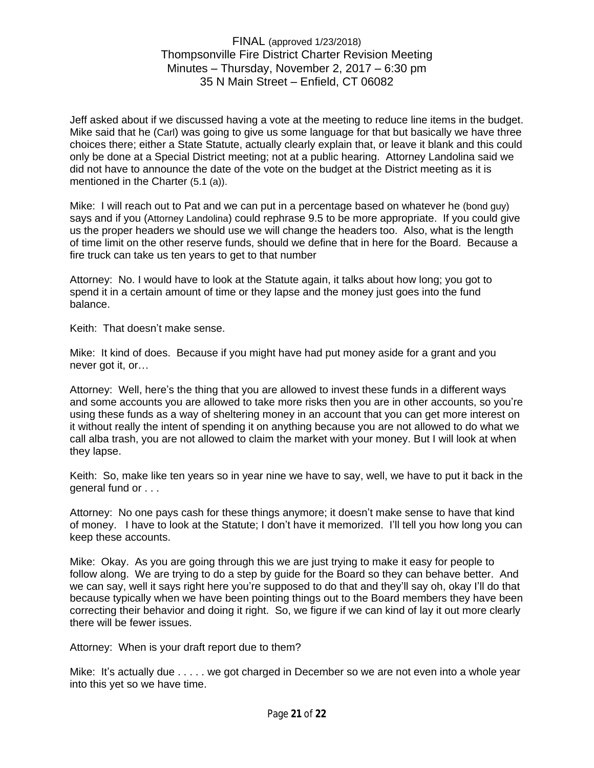Jeff asked about if we discussed having a vote at the meeting to reduce line items in the budget. Mike said that he (Carl) was going to give us some language for that but basically we have three choices there; either a State Statute, actually clearly explain that, or leave it blank and this could only be done at a Special District meeting; not at a public hearing. Attorney Landolina said we did not have to announce the date of the vote on the budget at the District meeting as it is mentioned in the Charter (5.1 (a)).

Mike: I will reach out to Pat and we can put in a percentage based on whatever he (bond guy) says and if you (Attorney Landolina) could rephrase 9.5 to be more appropriate. If you could give us the proper headers we should use we will change the headers too. Also, what is the length of time limit on the other reserve funds, should we define that in here for the Board. Because a fire truck can take us ten years to get to that number

Attorney: No. I would have to look at the Statute again, it talks about how long; you got to spend it in a certain amount of time or they lapse and the money just goes into the fund balance.

Keith: That doesn't make sense.

Mike: It kind of does. Because if you might have had put money aside for a grant and you never got it, or…

Attorney: Well, here's the thing that you are allowed to invest these funds in a different ways and some accounts you are allowed to take more risks then you are in other accounts, so you're using these funds as a way of sheltering money in an account that you can get more interest on it without really the intent of spending it on anything because you are not allowed to do what we call alba trash, you are not allowed to claim the market with your money. But I will look at when they lapse.

Keith: So, make like ten years so in year nine we have to say, well, we have to put it back in the general fund or . . .

Attorney: No one pays cash for these things anymore; it doesn't make sense to have that kind of money. I have to look at the Statute; I don't have it memorized. I'll tell you how long you can keep these accounts.

Mike: Okay. As you are going through this we are just trying to make it easy for people to follow along. We are trying to do a step by guide for the Board so they can behave better. And we can say, well it says right here you're supposed to do that and they'll say oh, okay I'll do that because typically when we have been pointing things out to the Board members they have been correcting their behavior and doing it right. So, we figure if we can kind of lay it out more clearly there will be fewer issues.

Attorney: When is your draft report due to them?

Mike: It's actually due . . . . . we got charged in December so we are not even into a whole year into this yet so we have time.